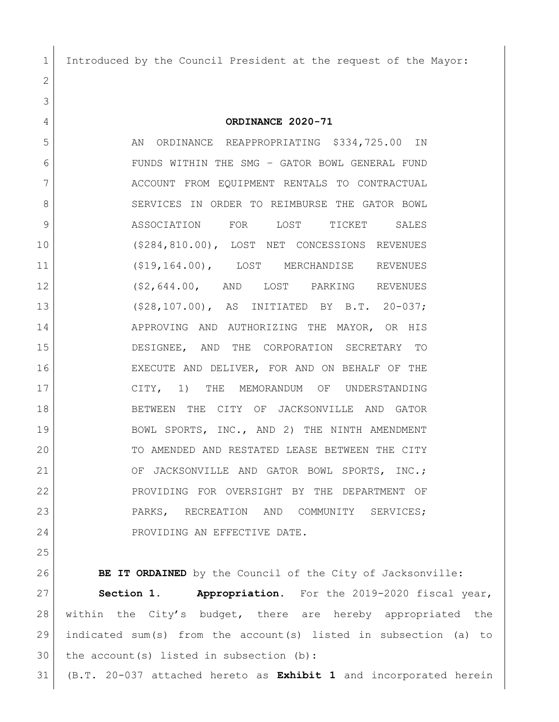Introduced by the Council President at the request of the Mayor:

 **ORDINANCE 2020-71** 5 AN ORDINANCE REAPPROPRIATING \$334,725.00 IN FUNDS WITHIN THE SMG – GATOR BOWL GENERAL FUND 7 | ACCOUNT FROM EQUIPMENT RENTALS TO CONTRACTUAL 8 SERVICES IN ORDER TO REIMBURSE THE GATOR BOWL ASSOCIATION FOR LOST TICKET SALES (\$284,810.00), LOST NET CONCESSIONS REVENUES (\$19,164.00), LOST MERCHANDISE REVENUES (\$2,644.00, AND LOST PARKING REVENUES (\$28,107.00), AS INITIATED BY B.T. 20-037; 14 APPROVING AND AUTHORIZING THE MAYOR, OR HIS DESIGNEE, AND THE CORPORATION SECRETARY TO EXECUTE AND DELIVER, FOR AND ON BEHALF OF THE CITY, 1) THE MEMORANDUM OF UNDERSTANDING BETWEEN THE CITY OF JACKSONVILLE AND GATOR 19 BOWL SPORTS, INC., AND 2) THE NINTH AMENDMENT TO AMENDED AND RESTATED LEASE BETWEEN THE CITY 21 OF JACKSONVILLE AND GATOR BOWL SPORTS, INC.; PROVIDING FOR OVERSIGHT BY THE DEPARTMENT OF 23 PARKS, RECREATION AND COMMUNITY SERVICES; 24 PROVIDING AN EFFECTIVE DATE.

 **BE IT ORDAINED** by the Council of the City of Jacksonville: **Section 1. Appropriation.** For the 2019-2020 fiscal year, 28 | within the City's budget, there are hereby appropriated the indicated sum(s) from the account(s) listed in subsection (a) to the account(s) listed in subsection (b): (B.T. 20-037 attached hereto as **Exhibit 1** and incorporated herein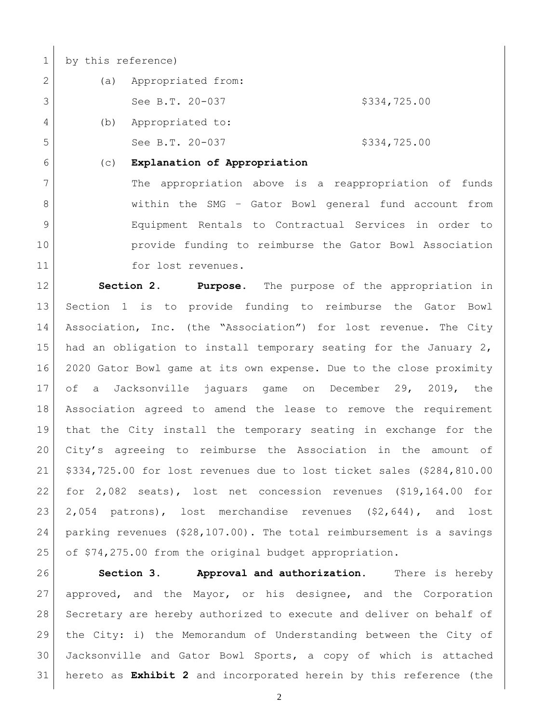by this reference)

| (a) | Appropriated from: |              |
|-----|--------------------|--------------|
|     | See B.T. 20-037    | \$334,725.00 |
| (b) | Appropriated to:   |              |
|     | See B.T. 20-037    | \$334,725.00 |
|     |                    |              |

(c) **Explanation of Appropriation**

7 | The appropriation above is a reappropriation of funds 8 | Within the SMG - Gator Bowl general fund account from Equipment Rentals to Contractual Services in order to provide funding to reimburse the Gator Bowl Association 11 for lost revenues.

 **Section 2. Purpose.** The purpose of the appropriation in Section 1 is to provide funding to reimburse the Gator Bowl Association, Inc. (the "Association") for lost revenue. The City 15 had an obligation to install temporary seating for the January 2, 2020 Gator Bowl game at its own expense. Due to the close proximity of a Jacksonville jaguars game on December 29, 2019, the Association agreed to amend the lease to remove the requirement that the City install the temporary seating in exchange for the City's agreeing to reimburse the Association in the amount of \$334,725.00 for lost revenues due to lost ticket sales (\$284,810.00 for 2,082 seats), lost net concession revenues (\$19,164.00 for 2,054 patrons), lost merchandise revenues (\$2,644), and lost parking revenues (\$28,107.00). The total reimbursement is a savings 25 of \$74,275.00 from the original budget appropriation.

 **Section 3. Approval and authorization.** There is hereby approved, and the Mayor, or his designee, and the Corporation Secretary are hereby authorized to execute and deliver on behalf of the City: i) the Memorandum of Understanding between the City of Jacksonville and Gator Bowl Sports, a copy of which is attached hereto as **Exhibit 2** and incorporated herein by this reference (the